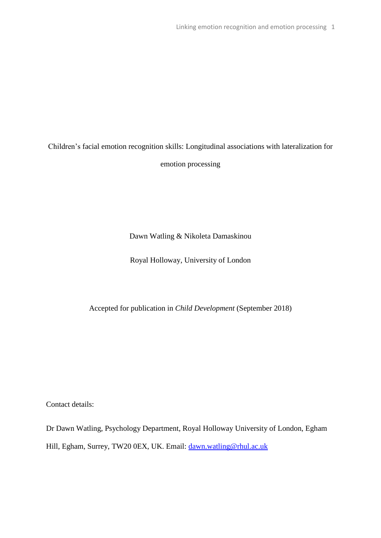# Children's facial emotion recognition skills: Longitudinal associations with lateralization for emotion processing

Dawn Watling & Nikoleta Damaskinou

Royal Holloway, University of London

Accepted for publication in *Child Development* (September 2018)

Contact details:

Dr Dawn Watling, Psychology Department, Royal Holloway University of London, Egham Hill, Egham, Surrey, TW20 0EX, UK. Email: [dawn.watling@rhul.ac.uk](mailto:dawn.watling@rhul.ac.uk)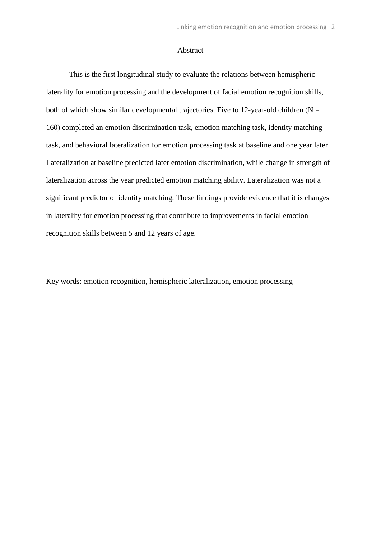#### Abstract

This is the first longitudinal study to evaluate the relations between hemispheric laterality for emotion processing and the development of facial emotion recognition skills, both of which show similar developmental trajectories. Five to 12-year-old children  $(N =$ 160) completed an emotion discrimination task, emotion matching task, identity matching task, and behavioral lateralization for emotion processing task at baseline and one year later. Lateralization at baseline predicted later emotion discrimination, while change in strength of lateralization across the year predicted emotion matching ability. Lateralization was not a significant predictor of identity matching. These findings provide evidence that it is changes in laterality for emotion processing that contribute to improvements in facial emotion recognition skills between 5 and 12 years of age.

Key words: emotion recognition, hemispheric lateralization, emotion processing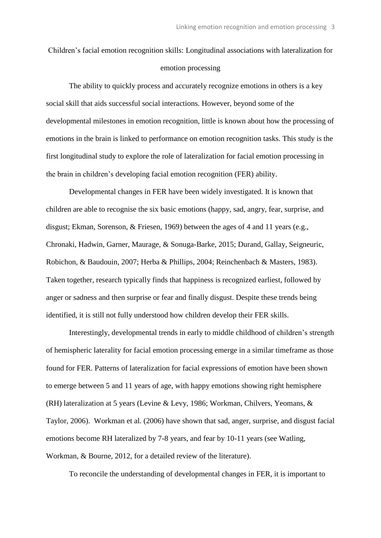## Children's facial emotion recognition skills: Longitudinal associations with lateralization for emotion processing

The ability to quickly process and accurately recognize emotions in others is a key social skill that aids successful social interactions. However, beyond some of the developmental milestones in emotion recognition, little is known about how the processing of emotions in the brain is linked to performance on emotion recognition tasks. This study is the first longitudinal study to explore the role of lateralization for facial emotion processing in the brain in children's developing facial emotion recognition (FER) ability.

Developmental changes in FER have been widely investigated. It is known that children are able to recognise the six basic emotions (happy, sad, angry, fear, surprise, and disgust; Ekman, Sorenson, & Friesen, 1969) between the ages of 4 and 11 years (e.g., Chronaki, Hadwin, Garner, Maurage, & Sonuga-Barke, 2015; Durand, Gallay, Seigneuric, Robichon, & Baudouin, 2007; Herba & Phillips, 2004; Reinchenbach & Masters, 1983). Taken together, research typically finds that happiness is recognized earliest, followed by anger or sadness and then surprise or fear and finally disgust. Despite these trends being identified, it is still not fully understood how children develop their FER skills.

Interestingly, developmental trends in early to middle childhood of children's strength of hemispheric laterality for facial emotion processing emerge in a similar timeframe as those found for FER. Patterns of lateralization for facial expressions of emotion have been shown to emerge between 5 and 11 years of age, with happy emotions showing right hemisphere (RH) lateralization at 5 years (Levine & Levy, 1986; Workman, Chilvers, Yeomans, & Taylor, 2006). Workman et al. (2006) have shown that sad, anger, surprise, and disgust facial emotions become RH lateralized by 7-8 years, and fear by 10-11 years (see Watling, Workman, & Bourne, 2012, for a detailed review of the literature).

To reconcile the understanding of developmental changes in FER, it is important to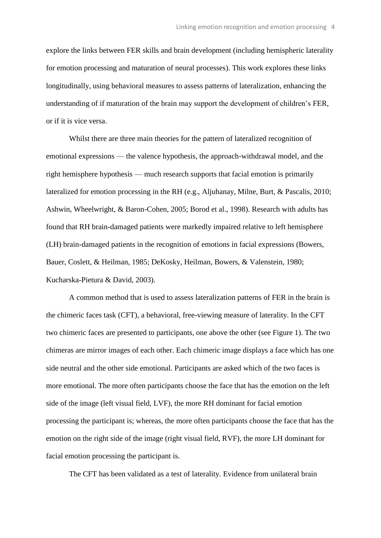explore the links between FER skills and brain development (including hemispheric laterality for emotion processing and maturation of neural processes). This work explores these links longitudinally, using behavioral measures to assess patterns of lateralization, enhancing the understanding of if maturation of the brain may support the development of children's FER, or if it is vice versa.

Whilst there are three main theories for the pattern of lateralized recognition of emotional expressions — the valence hypothesis, the approach-withdrawal model, and the right hemisphere hypothesis — much research supports that facial emotion is primarily lateralized for emotion processing in the RH (e.g., Aljuhanay, Milne, Burt, & Pascalis, 2010; Ashwin, Wheelwright, & Baron-Cohen, 2005; Borod et al., 1998). Research with adults has found that RH brain-damaged patients were markedly impaired relative to left hemisphere (LH) brain-damaged patients in the recognition of emotions in facial expressions (Bowers, Bauer, Coslett, & Heilman, 1985; DeKosky, Heilman, Bowers, & Valenstein, 1980; Kucharska-Pietura & David, 2003).

A common method that is used to assess lateralization patterns of FER in the brain is the chimeric faces task (CFT), a behavioral, free-viewing measure of laterality. In the CFT two chimeric faces are presented to participants, one above the other (see Figure 1). The two chimeras are mirror images of each other. Each chimeric image displays a face which has one side neutral and the other side emotional. Participants are asked which of the two faces is more emotional. The more often participants choose the face that has the emotion on the left side of the image (left visual field, LVF), the more RH dominant for facial emotion processing the participant is; whereas, the more often participants choose the face that has the emotion on the right side of the image (right visual field, RVF), the more LH dominant for facial emotion processing the participant is.

The CFT has been validated as a test of laterality. Evidence from unilateral brain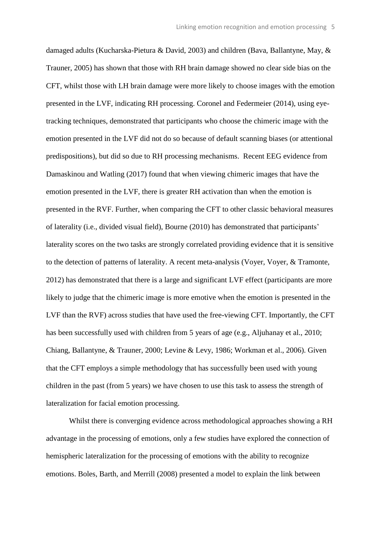damaged adults (Kucharska-Pietura & David, 2003) and children (Bava, Ballantyne, May, & Trauner, 2005) has shown that those with RH brain damage showed no clear side bias on the CFT, whilst those with LH brain damage were more likely to choose images with the emotion presented in the LVF, indicating RH processing. Coronel and Federmeier (2014), using eyetracking techniques, demonstrated that participants who choose the chimeric image with the emotion presented in the LVF did not do so because of default scanning biases (or attentional predispositions), but did so due to RH processing mechanisms. Recent EEG evidence from Damaskinou and Watling (2017) found that when viewing chimeric images that have the emotion presented in the LVF, there is greater RH activation than when the emotion is presented in the RVF. Further, when comparing the CFT to other classic behavioral measures of laterality (i.e., divided visual field), Bourne (2010) has demonstrated that participants' laterality scores on the two tasks are strongly correlated providing evidence that it is sensitive to the detection of patterns of laterality. A recent meta-analysis (Voyer, Voyer, & Tramonte, 2012) has demonstrated that there is a large and significant LVF effect (participants are more likely to judge that the chimeric image is more emotive when the emotion is presented in the LVF than the RVF) across studies that have used the free-viewing CFT. Importantly, the CFT has been successfully used with children from 5 years of age (e.g., Aljuhanay et al., 2010; Chiang, Ballantyne, & Trauner, 2000; Levine & Levy, 1986; Workman et al., 2006). Given that the CFT employs a simple methodology that has successfully been used with young children in the past (from 5 years) we have chosen to use this task to assess the strength of lateralization for facial emotion processing.

Whilst there is converging evidence across methodological approaches showing a RH advantage in the processing of emotions, only a few studies have explored the connection of hemispheric lateralization for the processing of emotions with the ability to recognize emotions. Boles, Barth, and Merrill (2008) presented a model to explain the link between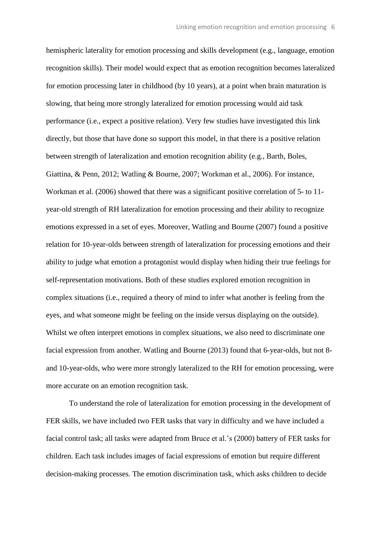hemispheric laterality for emotion processing and skills development (e.g., language, emotion recognition skills). Their model would expect that as emotion recognition becomes lateralized for emotion processing later in childhood (by 10 years), at a point when brain maturation is slowing, that being more strongly lateralized for emotion processing would aid task performance (i.e., expect a positive relation). Very few studies have investigated this link directly, but those that have done so support this model, in that there is a positive relation between strength of lateralization and emotion recognition ability (e.g., Barth, Boles, Giattina, & Penn, 2012; Watling & Bourne, 2007; Workman et al., 2006). For instance, Workman et al. (2006) showed that there was a significant positive correlation of 5- to 11 year-old strength of RH lateralization for emotion processing and their ability to recognize emotions expressed in a set of eyes. Moreover, Watling and Bourne (2007) found a positive relation for 10-year-olds between strength of lateralization for processing emotions and their ability to judge what emotion a protagonist would display when hiding their true feelings for self-representation motivations. Both of these studies explored emotion recognition in complex situations (i.e., required a theory of mind to infer what another is feeling from the eyes, and what someone might be feeling on the inside versus displaying on the outside). Whilst we often interpret emotions in complex situations, we also need to discriminate one facial expression from another. Watling and Bourne (2013) found that 6-year-olds, but not 8 and 10-year-olds, who were more strongly lateralized to the RH for emotion processing, were more accurate on an emotion recognition task.

To understand the role of lateralization for emotion processing in the development of FER skills, we have included two FER tasks that vary in difficulty and we have included a facial control task; all tasks were adapted from Bruce et al.'s (2000) battery of FER tasks for children. Each task includes images of facial expressions of emotion but require different decision-making processes. The emotion discrimination task, which asks children to decide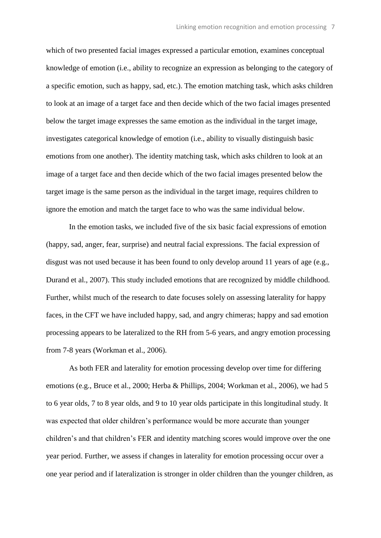which of two presented facial images expressed a particular emotion, examines conceptual knowledge of emotion (i.e., ability to recognize an expression as belonging to the category of a specific emotion, such as happy, sad, etc.). The emotion matching task, which asks children to look at an image of a target face and then decide which of the two facial images presented below the target image expresses the same emotion as the individual in the target image, investigates categorical knowledge of emotion (i.e., ability to visually distinguish basic emotions from one another). The identity matching task, which asks children to look at an image of a target face and then decide which of the two facial images presented below the target image is the same person as the individual in the target image, requires children to ignore the emotion and match the target face to who was the same individual below.

In the emotion tasks, we included five of the six basic facial expressions of emotion (happy, sad, anger, fear, surprise) and neutral facial expressions. The facial expression of disgust was not used because it has been found to only develop around 11 years of age (e.g., Durand et al., 2007). This study included emotions that are recognized by middle childhood. Further, whilst much of the research to date focuses solely on assessing laterality for happy faces, in the CFT we have included happy, sad, and angry chimeras; happy and sad emotion processing appears to be lateralized to the RH from 5-6 years, and angry emotion processing from 7-8 years (Workman et al., 2006).

As both FER and laterality for emotion processing develop over time for differing emotions (e.g., Bruce et al., 2000; Herba & Phillips, 2004; Workman et al., 2006), we had 5 to 6 year olds, 7 to 8 year olds, and 9 to 10 year olds participate in this longitudinal study. It was expected that older children's performance would be more accurate than younger children's and that children's FER and identity matching scores would improve over the one year period. Further, we assess if changes in laterality for emotion processing occur over a one year period and if lateralization is stronger in older children than the younger children, as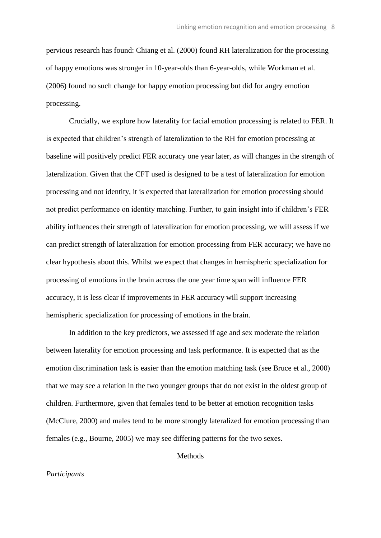pervious research has found: Chiang et al. (2000) found RH lateralization for the processing of happy emotions was stronger in 10-year-olds than 6-year-olds, while Workman et al. (2006) found no such change for happy emotion processing but did for angry emotion processing.

Crucially, we explore how laterality for facial emotion processing is related to FER. It is expected that children's strength of lateralization to the RH for emotion processing at baseline will positively predict FER accuracy one year later, as will changes in the strength of lateralization. Given that the CFT used is designed to be a test of lateralization for emotion processing and not identity, it is expected that lateralization for emotion processing should not predict performance on identity matching. Further, to gain insight into if children's FER ability influences their strength of lateralization for emotion processing, we will assess if we can predict strength of lateralization for emotion processing from FER accuracy; we have no clear hypothesis about this. Whilst we expect that changes in hemispheric specialization for processing of emotions in the brain across the one year time span will influence FER accuracy, it is less clear if improvements in FER accuracy will support increasing hemispheric specialization for processing of emotions in the brain.

In addition to the key predictors, we assessed if age and sex moderate the relation between laterality for emotion processing and task performance. It is expected that as the emotion discrimination task is easier than the emotion matching task (see Bruce et al., 2000) that we may see a relation in the two younger groups that do not exist in the oldest group of children. Furthermore, given that females tend to be better at emotion recognition tasks (McClure, 2000) and males tend to be more strongly lateralized for emotion processing than females (e.g., Bourne, 2005) we may see differing patterns for the two sexes.

**Methods** 

#### *Participants*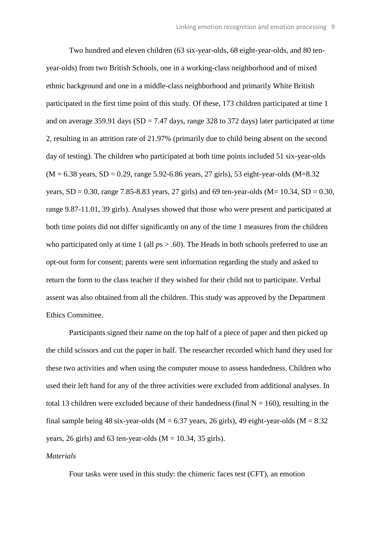Two hundred and eleven children (63 six-year-olds, 68 eight-year-olds, and 80 tenyear-olds) from two British Schools, one in a working-class neighborhood and of mixed ethnic background and one in a middle-class neighborhood and primarily White British participated in the first time point of this study. Of these, 173 children participated at time 1 and on average 359.91 days ( $SD = 7.47$  days, range 328 to 372 days) later participated at time 2, resulting in an attrition rate of 21.97% (primarily due to child being absent on the second day of testing). The children who participated at both time points included 51 six-year-olds  $(M = 6.38 \text{ years}, SD = 0.29, range 5.92 - 6.86 \text{ years}, 27 \text{ girls}, 53 \text{ eight-year-olds } (M = 8.32$ years,  $SD = 0.30$ , range 7.85-8.83 years, 27 girls) and 69 ten-year-olds (M= 10.34, SD = 0.30, range 9.87-11.01, 39 girls). Analyses showed that those who were present and participated at both time points did not differ significantly on any of the time 1 measures from the children who participated only at time 1 (all  $ps > .60$ ). The Heads in both schools preferred to use an opt-out form for consent; parents were sent information regarding the study and asked to return the form to the class teacher if they wished for their child not to participate. Verbal assent was also obtained from all the children. This study was approved by the Department Ethics Committee.

Participants signed their name on the top half of a piece of paper and then picked up the child scissors and cut the paper in half. The researcher recorded which hand they used for these two activities and when using the computer mouse to assess handedness. Children who used their left hand for any of the three activities were excluded from additional analyses. In total 13 children were excluded because of their handedness (final  $N = 160$ ), resulting in the final sample being 48 six-year-olds ( $M = 6.37$  years, 26 girls), 49 eight-year-olds ( $M = 8.32$ years, 26 girls) and 63 ten-year-olds ( $M = 10.34$ , 35 girls).

### *Materials*

Four tasks were used in this study: the chimeric faces test (CFT), an emotion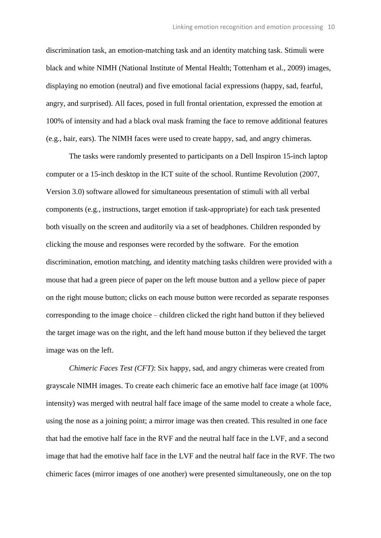discrimination task, an emotion-matching task and an identity matching task. Stimuli were black and white NIMH (National Institute of Mental Health; Tottenham et al., 2009) images, displaying no emotion (neutral) and five emotional facial expressions (happy, sad, fearful, angry, and surprised). All faces, posed in full frontal orientation, expressed the emotion at 100% of intensity and had a black oval mask framing the face to remove additional features (e.g., hair, ears). The NIMH faces were used to create happy, sad, and angry chimeras.

The tasks were randomly presented to participants on a Dell Inspiron 15-inch laptop computer or a 15-inch desktop in the ICT suite of the school. Runtime Revolution (2007, Version 3.0) software allowed for simultaneous presentation of stimuli with all verbal components (e.g., instructions, target emotion if task-appropriate) for each task presented both visually on the screen and auditorily via a set of headphones. Children responded by clicking the mouse and responses were recorded by the software. For the emotion discrimination, emotion matching, and identity matching tasks children were provided with a mouse that had a green piece of paper on the left mouse button and a yellow piece of paper on the right mouse button; clicks on each mouse button were recorded as separate responses corresponding to the image choice – children clicked the right hand button if they believed the target image was on the right, and the left hand mouse button if they believed the target image was on the left.

*Chimeric Faces Test (CFT)*: Six happy, sad, and angry chimeras were created from grayscale NIMH images. To create each chimeric face an emotive half face image (at 100% intensity) was merged with neutral half face image of the same model to create a whole face, using the nose as a joining point; a mirror image was then created. This resulted in one face that had the emotive half face in the RVF and the neutral half face in the LVF, and a second image that had the emotive half face in the LVF and the neutral half face in the RVF. The two chimeric faces (mirror images of one another) were presented simultaneously, one on the top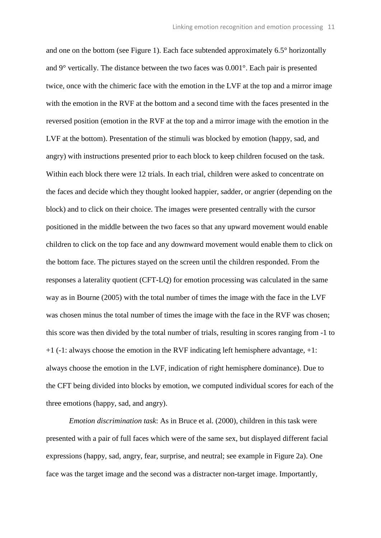and one on the bottom (see Figure 1). Each face subtended approximately 6.5° horizontally and 9° vertically. The distance between the two faces was 0.001°. Each pair is presented twice, once with the chimeric face with the emotion in the LVF at the top and a mirror image with the emotion in the RVF at the bottom and a second time with the faces presented in the reversed position (emotion in the RVF at the top and a mirror image with the emotion in the LVF at the bottom). Presentation of the stimuli was blocked by emotion (happy, sad, and angry) with instructions presented prior to each block to keep children focused on the task. Within each block there were 12 trials. In each trial, children were asked to concentrate on the faces and decide which they thought looked happier, sadder, or angrier (depending on the block) and to click on their choice. The images were presented centrally with the cursor positioned in the middle between the two faces so that any upward movement would enable children to click on the top face and any downward movement would enable them to click on the bottom face. The pictures stayed on the screen until the children responded. From the responses a laterality quotient (CFT-LQ) for emotion processing was calculated in the same way as in Bourne (2005) with the total number of times the image with the face in the LVF was chosen minus the total number of times the image with the face in the RVF was chosen; this score was then divided by the total number of trials, resulting in scores ranging from -1 to +1 (-1: always choose the emotion in the RVF indicating left hemisphere advantage, +1: always choose the emotion in the LVF, indication of right hemisphere dominance). Due to the CFT being divided into blocks by emotion, we computed individual scores for each of the three emotions (happy, sad, and angry).

*Emotion discrimination task*: As in Bruce et al. (2000), children in this task were presented with a pair of full faces which were of the same sex, but displayed different facial expressions (happy, sad, angry, fear, surprise, and neutral; see example in Figure 2a). One face was the target image and the second was a distracter non-target image. Importantly,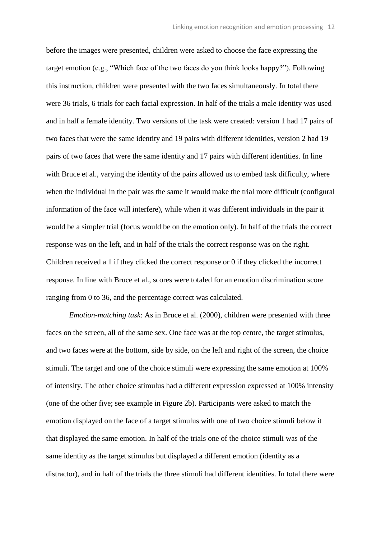before the images were presented, children were asked to choose the face expressing the target emotion (e.g., "Which face of the two faces do you think looks happy?"). Following this instruction, children were presented with the two faces simultaneously. In total there were 36 trials, 6 trials for each facial expression. In half of the trials a male identity was used and in half a female identity. Two versions of the task were created: version 1 had 17 pairs of two faces that were the same identity and 19 pairs with different identities, version 2 had 19 pairs of two faces that were the same identity and 17 pairs with different identities. In line with Bruce et al., varying the identity of the pairs allowed us to embed task difficulty, where when the individual in the pair was the same it would make the trial more difficult (configural information of the face will interfere), while when it was different individuals in the pair it would be a simpler trial (focus would be on the emotion only). In half of the trials the correct response was on the left, and in half of the trials the correct response was on the right. Children received a 1 if they clicked the correct response or 0 if they clicked the incorrect response. In line with Bruce et al., scores were totaled for an emotion discrimination score ranging from 0 to 36, and the percentage correct was calculated.

*Emotion-matching task*: As in Bruce et al. (2000), children were presented with three faces on the screen, all of the same sex. One face was at the top centre, the target stimulus, and two faces were at the bottom, side by side, on the left and right of the screen, the choice stimuli. The target and one of the choice stimuli were expressing the same emotion at 100% of intensity. The other choice stimulus had a different expression expressed at 100% intensity (one of the other five; see example in Figure 2b). Participants were asked to match the emotion displayed on the face of a target stimulus with one of two choice stimuli below it that displayed the same emotion. In half of the trials one of the choice stimuli was of the same identity as the target stimulus but displayed a different emotion (identity as a distractor), and in half of the trials the three stimuli had different identities. In total there were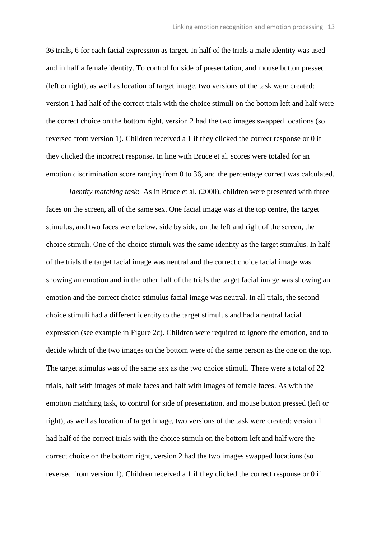36 trials, 6 for each facial expression as target. In half of the trials a male identity was used and in half a female identity. To control for side of presentation, and mouse button pressed (left or right), as well as location of target image, two versions of the task were created: version 1 had half of the correct trials with the choice stimuli on the bottom left and half were the correct choice on the bottom right, version 2 had the two images swapped locations (so reversed from version 1). Children received a 1 if they clicked the correct response or 0 if they clicked the incorrect response. In line with Bruce et al. scores were totaled for an emotion discrimination score ranging from 0 to 36, and the percentage correct was calculated.

*Identity matching task*: As in Bruce et al. (2000), children were presented with three faces on the screen, all of the same sex. One facial image was at the top centre, the target stimulus, and two faces were below, side by side, on the left and right of the screen, the choice stimuli. One of the choice stimuli was the same identity as the target stimulus. In half of the trials the target facial image was neutral and the correct choice facial image was showing an emotion and in the other half of the trials the target facial image was showing an emotion and the correct choice stimulus facial image was neutral. In all trials, the second choice stimuli had a different identity to the target stimulus and had a neutral facial expression (see example in Figure 2c). Children were required to ignore the emotion, and to decide which of the two images on the bottom were of the same person as the one on the top. The target stimulus was of the same sex as the two choice stimuli. There were a total of 22 trials, half with images of male faces and half with images of female faces. As with the emotion matching task, to control for side of presentation, and mouse button pressed (left or right), as well as location of target image, two versions of the task were created: version 1 had half of the correct trials with the choice stimuli on the bottom left and half were the correct choice on the bottom right, version 2 had the two images swapped locations (so reversed from version 1). Children received a 1 if they clicked the correct response or 0 if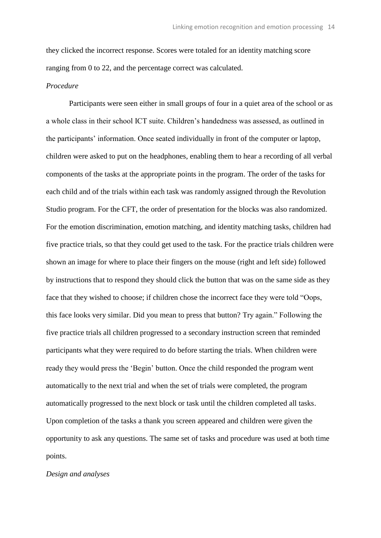they clicked the incorrect response. Scores were totaled for an identity matching score ranging from 0 to 22, and the percentage correct was calculated.

#### *Procedure*

Participants were seen either in small groups of four in a quiet area of the school or as a whole class in their school ICT suite. Children's handedness was assessed, as outlined in the participants' information. Once seated individually in front of the computer or laptop, children were asked to put on the headphones, enabling them to hear a recording of all verbal components of the tasks at the appropriate points in the program. The order of the tasks for each child and of the trials within each task was randomly assigned through the Revolution Studio program. For the CFT, the order of presentation for the blocks was also randomized. For the emotion discrimination, emotion matching, and identity matching tasks, children had five practice trials, so that they could get used to the task. For the practice trials children were shown an image for where to place their fingers on the mouse (right and left side) followed by instructions that to respond they should click the button that was on the same side as they face that they wished to choose; if children chose the incorrect face they were told "Oops, this face looks very similar. Did you mean to press that button? Try again." Following the five practice trials all children progressed to a secondary instruction screen that reminded participants what they were required to do before starting the trials. When children were ready they would press the 'Begin' button. Once the child responded the program went automatically to the next trial and when the set of trials were completed, the program automatically progressed to the next block or task until the children completed all tasks. Upon completion of the tasks a thank you screen appeared and children were given the opportunity to ask any questions. The same set of tasks and procedure was used at both time points.

#### *Design and analyses*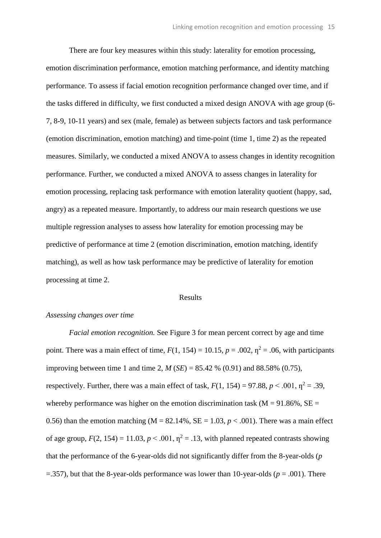There are four key measures within this study: laterality for emotion processing, emotion discrimination performance, emotion matching performance, and identity matching performance. To assess if facial emotion recognition performance changed over time, and if the tasks differed in difficulty, we first conducted a mixed design ANOVA with age group (6- 7, 8-9, 10-11 years) and sex (male, female) as between subjects factors and task performance (emotion discrimination, emotion matching) and time-point (time 1, time 2) as the repeated measures. Similarly, we conducted a mixed ANOVA to assess changes in identity recognition performance. Further, we conducted a mixed ANOVA to assess changes in laterality for emotion processing, replacing task performance with emotion laterality quotient (happy, sad, angry) as a repeated measure. Importantly, to address our main research questions we use multiple regression analyses to assess how laterality for emotion processing may be predictive of performance at time 2 (emotion discrimination, emotion matching, identify matching), as well as how task performance may be predictive of laterality for emotion processing at time 2.

#### Results

#### *Assessing changes over time*

*Facial emotion recognition.* See Figure 3 for mean percent correct by age and time point. There was a main effect of time,  $F(1, 154) = 10.15$ ,  $p = .002$ ,  $\eta^2 = .06$ , with participants improving between time 1 and time 2,  $M(SE) = 85.42$  % (0.91) and 88.58% (0.75), respectively. Further, there was a main effect of task,  $F(1, 154) = 97.88$ ,  $p < .001$ ,  $p^2 = .39$ , whereby performance was higher on the emotion discrimination task ( $M = 91.86\%$ ,  $SE =$ 0.56) than the emotion matching ( $M = 82.14\%$ ,  $SE = 1.03$ ,  $p < .001$ ). There was a main effect of age group,  $F(2, 154) = 11.03$ ,  $p < .001$ ,  $p^2 = .13$ , with planned repeated contrasts showing that the performance of the 6-year-olds did not significantly differ from the 8-year-olds (*p*  $=$ .357), but that the 8-year-olds performance was lower than 10-year-olds ( $p = .001$ ). There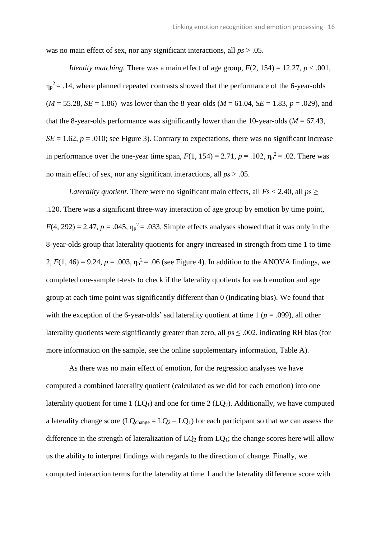was no main effect of sex, nor any significant interactions, all *ps* > .05.

*Identity matching.* There was a main effect of age group,  $F(2, 154) = 12.27$ ,  $p < .001$ .  $\eta_p^2$  = .14, where planned repeated contrasts showed that the performance of the 6-year-olds  $(M = 55.28, SE = 1.86)$  was lower than the 8-year-olds  $(M = 61.04, SE = 1.83, p = .029)$ , and that the 8-year-olds performance was significantly lower than the 10-year-olds ( $M = 67.43$ ,  $SE = 1.62$ ,  $p = .010$ ; see Figure 3). Contrary to expectations, there was no significant increase in performance over the one-year time span,  $F(1, 154) = 2.71$ ,  $p = .102$ ,  $\eta_p^2 = .02$ . There was no main effect of sex, nor any significant interactions, all *ps* > .05.

*Laterality quotient.* There were no significant main effects, all  $Fs < 2.40$ , all  $ps \ge$ .120. There was a significant three-way interaction of age group by emotion by time point,  $F(4, 292) = 2.47$ ,  $p = .045$ ,  $\eta_p^2 = .033$ . Simple effects analyses showed that it was only in the 8-year-olds group that laterality quotients for angry increased in strength from time 1 to time 2,  $F(1, 46) = 9.24$ ,  $p = .003$ ,  $\eta_p^2 = .06$  (see Figure 4). In addition to the ANOVA findings, we completed one-sample t-tests to check if the laterality quotients for each emotion and age group at each time point was significantly different than 0 (indicating bias). We found that with the exception of the 6-year-olds' sad laterality quotient at time  $1 (p = .099)$ , all other laterality quotients were significantly greater than zero, all  $ps \leq .002$ , indicating RH bias (for more information on the sample, see the online supplementary information, Table A).

As there was no main effect of emotion, for the regression analyses we have computed a combined laterality quotient (calculated as we did for each emotion) into one laterality quotient for time 1 ( $LO<sub>1</sub>$ ) and one for time 2 ( $LO<sub>2</sub>$ ). Additionally, we have computed a laterality change score  $(LQ_{change} = LQ_2 - LQ_1)$  for each participant so that we can assess the difference in the strength of lateralization of  $LQ_2$  from  $LQ_1$ ; the change scores here will allow us the ability to interpret findings with regards to the direction of change. Finally, we computed interaction terms for the laterality at time 1 and the laterality difference score with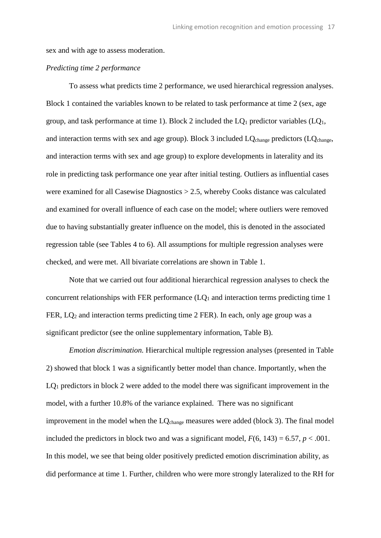sex and with age to assess moderation.

### *Predicting time 2 performance*

To assess what predicts time 2 performance, we used hierarchical regression analyses. Block 1 contained the variables known to be related to task performance at time 2 (sex, age group, and task performance at time 1). Block 2 included the  $LQ_1$  predictor variables  $(LQ_1,$ and interaction terms with sex and age group). Block 3 included  $LO_{change}$  predictors ( $LO_{change}$ , and interaction terms with sex and age group) to explore developments in laterality and its role in predicting task performance one year after initial testing. Outliers as influential cases were examined for all Casewise Diagnostics > 2.5, whereby Cooks distance was calculated and examined for overall influence of each case on the model; where outliers were removed due to having substantially greater influence on the model, this is denoted in the associated regression table (see Tables 4 to 6). All assumptions for multiple regression analyses were checked, and were met. All bivariate correlations are shown in Table 1.

Note that we carried out four additional hierarchical regression analyses to check the concurrent relationships with FER performance  $(LO<sub>1</sub>$  and interaction terms predicting time 1 FER, LQ<sup>2</sup> and interaction terms predicting time 2 FER). In each, only age group was a significant predictor (see the online supplementary information, Table B).

*Emotion discrimination.* Hierarchical multiple regression analyses (presented in Table 2) showed that block 1 was a significantly better model than chance. Importantly, when the LQ<sup>1</sup> predictors in block 2 were added to the model there was significant improvement in the model, with a further 10.8% of the variance explained. There was no significant improvement in the model when the LQ<sub>change</sub> measures were added (block 3). The final model included the predictors in block two and was a significant model,  $F(6, 143) = 6.57$ ,  $p < .001$ . In this model, we see that being older positively predicted emotion discrimination ability, as did performance at time 1. Further, children who were more strongly lateralized to the RH for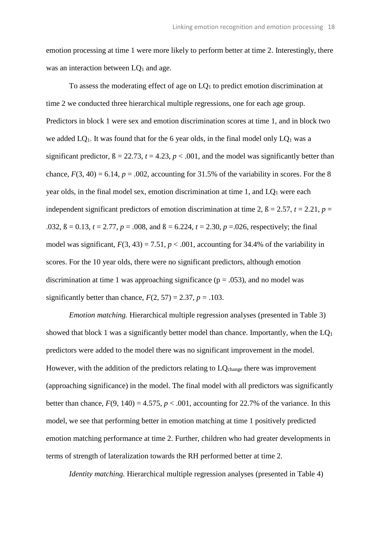emotion processing at time 1 were more likely to perform better at time 2. Interestingly, there was an interaction between  $LQ_1$  and age.

To assess the moderating effect of age on LQ<sup>1</sup> to predict emotion discrimination at time 2 we conducted three hierarchical multiple regressions, one for each age group. Predictors in block 1 were sex and emotion discrimination scores at time 1, and in block two we added  $LO_1$ . It was found that for the 6 year olds, in the final model only  $LO_1$  was a significant predictor,  $\beta = 22.73$ ,  $t = 4.23$ ,  $p < .001$ , and the model was significantly better than chance,  $F(3, 40) = 6.14$ ,  $p = .002$ , accounting for 31.5% of the variability in scores. For the 8 year olds, in the final model sex, emotion discrimination at time 1, and  $LQ_1$  were each independent significant predictors of emotion discrimination at time 2,  $\beta = 2.57$ ,  $t = 2.21$ ,  $p =$ .032,  $\beta = 0.13$ ,  $t = 2.77$ ,  $p = .008$ , and  $\beta = 6.224$ ,  $t = 2.30$ ,  $p = .026$ , respectively; the final model was significant,  $F(3, 43) = 7.51$ ,  $p < .001$ , accounting for 34.4% of the variability in scores. For the 10 year olds, there were no significant predictors, although emotion discrimination at time 1 was approaching significance ( $p = .053$ ), and no model was significantly better than chance,  $F(2, 57) = 2.37$ ,  $p = .103$ .

*Emotion matching.* Hierarchical multiple regression analyses (presented in Table 3) showed that block 1 was a significantly better model than chance. Importantly, when the  $LQ_1$ predictors were added to the model there was no significant improvement in the model. However, with the addition of the predictors relating to LQ<sub>change</sub> there was improvement (approaching significance) in the model. The final model with all predictors was significantly better than chance,  $F(9, 140) = 4.575$ ,  $p < .001$ , accounting for 22.7% of the variance. In this model, we see that performing better in emotion matching at time 1 positively predicted emotion matching performance at time 2. Further, children who had greater developments in terms of strength of lateralization towards the RH performed better at time 2.

*Identity matching.* Hierarchical multiple regression analyses (presented in Table 4)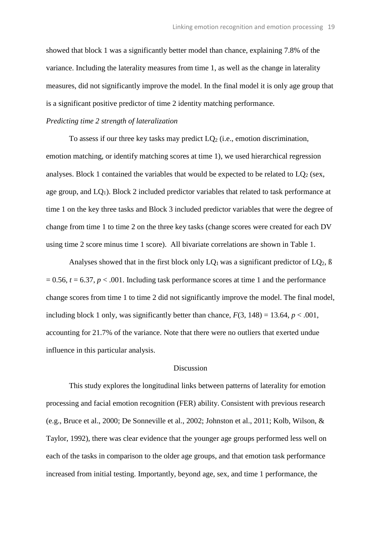showed that block 1 was a significantly better model than chance, explaining 7.8% of the variance. Including the laterality measures from time 1, as well as the change in laterality measures, did not significantly improve the model. In the final model it is only age group that is a significant positive predictor of time 2 identity matching performance.

#### *Predicting time 2 strength of lateralization*

To assess if our three key tasks may predict  $LO<sub>2</sub>$  (i.e., emotion discrimination, emotion matching, or identify matching scores at time 1), we used hierarchical regression analyses. Block 1 contained the variables that would be expected to be related to  $LQ<sub>2</sub>$  (sex, age group, and  $LQ_1$ ). Block 2 included predictor variables that related to task performance at time 1 on the key three tasks and Block 3 included predictor variables that were the degree of change from time 1 to time 2 on the three key tasks (change scores were created for each DV using time 2 score minus time 1 score). All bivariate correlations are shown in Table 1.

Analyses showed that in the first block only  $LQ_1$  was a significant predictor of  $LQ_2$ ,  $\beta$  $= 0.56$ ,  $t = 6.37$ ,  $p < .001$ . Including task performance scores at time 1 and the performance change scores from time 1 to time 2 did not significantly improve the model. The final model, including block 1 only, was significantly better than chance,  $F(3, 148) = 13.64$ ,  $p < .001$ , accounting for 21.7% of the variance. Note that there were no outliers that exerted undue influence in this particular analysis.

#### Discussion

This study explores the longitudinal links between patterns of laterality for emotion processing and facial emotion recognition (FER) ability. Consistent with previous research (e.g., Bruce et al., 2000; De Sonneville et al., 2002; Johnston et al., 2011; Kolb, Wilson, & Taylor, 1992), there was clear evidence that the younger age groups performed less well on each of the tasks in comparison to the older age groups, and that emotion task performance increased from initial testing. Importantly, beyond age, sex, and time 1 performance, the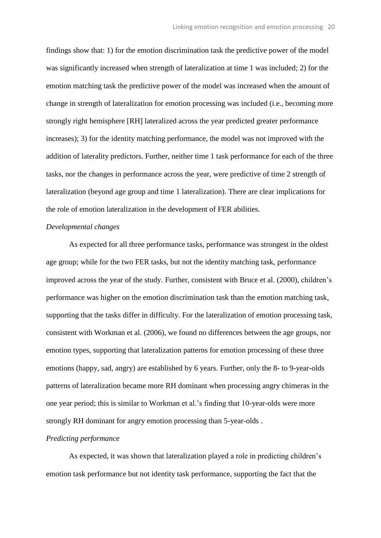findings show that: 1) for the emotion discrimination task the predictive power of the model was significantly increased when strength of lateralization at time 1 was included; 2) for the emotion matching task the predictive power of the model was increased when the amount of change in strength of lateralization for emotion processing was included (i.e., becoming more strongly right hemisphere [RH] lateralized across the year predicted greater performance increases); 3) for the identity matching performance, the model was not improved with the addition of laterality predictors. Further, neither time 1 task performance for each of the three tasks, nor the changes in performance across the year, were predictive of time 2 strength of lateralization (beyond age group and time 1 lateralization). There are clear implications for the role of emotion lateralization in the development of FER abilities.

### *Developmental changes*

As expected for all three performance tasks, performance was strongest in the oldest age group; while for the two FER tasks, but not the identity matching task, performance improved across the year of the study. Further, consistent with Bruce et al. (2000), children's performance was higher on the emotion discrimination task than the emotion matching task, supporting that the tasks differ in difficulty. For the lateralization of emotion processing task, consistent with Workman et al. (2006), we found no differences between the age groups, nor emotion types, supporting that lateralization patterns for emotion processing of these three emotions (happy, sad, angry) are established by 6 years. Further, only the 8- to 9-year-olds patterns of lateralization became more RH dominant when processing angry chimeras in the one year period; this is similar to Workman et al.'s finding that 10-year-olds were more strongly RH dominant for angry emotion processing than 5-year-olds .

## *Predicting performance*

As expected, it was shown that lateralization played a role in predicting children's emotion task performance but not identity task performance, supporting the fact that the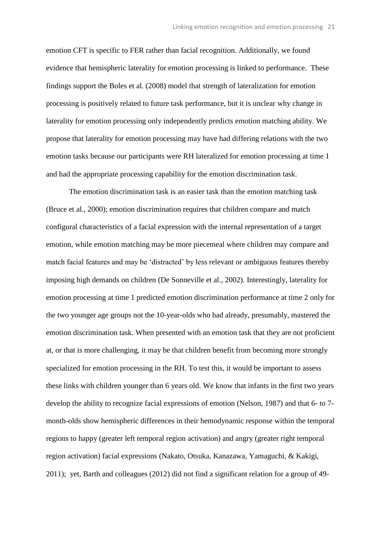emotion CFT is specific to FER rather than facial recognition. Additionally, we found evidence that hemispheric laterality for emotion processing is linked to performance. These findings support the Boles et al. (2008) model that strength of lateralization for emotion processing is positively related to future task performance, but it is unclear why change in laterality for emotion processing only independently predicts emotion matching ability. We propose that laterality for emotion processing may have had differing relations with the two emotion tasks because our participants were RH lateralized for emotion processing at time 1 and had the appropriate processing capability for the emotion discrimination task.

The emotion discrimination task is an easier task than the emotion matching task (Bruce et al., 2000); emotion discrimination requires that children compare and match configural characteristics of a facial expression with the internal representation of a target emotion, while emotion matching may be more piecemeal where children may compare and match facial features and may be 'distracted' by less relevant or ambiguous features thereby imposing high demands on children (De Sonneville et al., 2002). Interestingly, laterality for emotion processing at time 1 predicted emotion discrimination performance at time 2 only for the two younger age groups not the 10-year-olds who had already, presumably, mastered the emotion discrimination task. When presented with an emotion task that they are not proficient at, or that is more challenging, it may be that children benefit from becoming more strongly specialized for emotion processing in the RH. To test this, it would be important to assess these links with children younger than 6 years old. We know that infants in the first two years develop the ability to recognize facial expressions of emotion (Nelson, 1987) and that 6- to 7 month-olds show hemispheric differences in their hemodynamic response within the temporal regions to happy (greater left temporal region activation) and angry (greater right temporal region activation) facial expressions (Nakato, Otsuka, Kanazawa, Yamaguchi, & Kakigi, 2011); yet, Barth and colleagues (2012) did not find a significant relation for a group of 49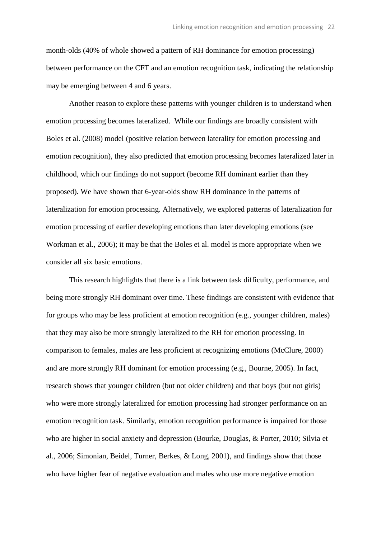month-olds (40% of whole showed a pattern of RH dominance for emotion processing) between performance on the CFT and an emotion recognition task, indicating the relationship may be emerging between 4 and 6 years.

Another reason to explore these patterns with younger children is to understand when emotion processing becomes lateralized. While our findings are broadly consistent with Boles et al. (2008) model (positive relation between laterality for emotion processing and emotion recognition), they also predicted that emotion processing becomes lateralized later in childhood, which our findings do not support (become RH dominant earlier than they proposed). We have shown that 6-year-olds show RH dominance in the patterns of lateralization for emotion processing. Alternatively, we explored patterns of lateralization for emotion processing of earlier developing emotions than later developing emotions (see Workman et al., 2006); it may be that the Boles et al. model is more appropriate when we consider all six basic emotions.

This research highlights that there is a link between task difficulty, performance, and being more strongly RH dominant over time. These findings are consistent with evidence that for groups who may be less proficient at emotion recognition (e.g., younger children, males) that they may also be more strongly lateralized to the RH for emotion processing. In comparison to females, males are less proficient at recognizing emotions (McClure, 2000) and are more strongly RH dominant for emotion processing (e.g., Bourne, 2005). In fact, research shows that younger children (but not older children) and that boys (but not girls) who were more strongly lateralized for emotion processing had stronger performance on an emotion recognition task. Similarly, emotion recognition performance is impaired for those who are higher in social anxiety and depression (Bourke, Douglas, & Porter, 2010; Silvia et al., 2006; Simonian, Beidel, Turner, Berkes, & Long, 2001), and findings show that those who have higher fear of negative evaluation and males who use more negative emotion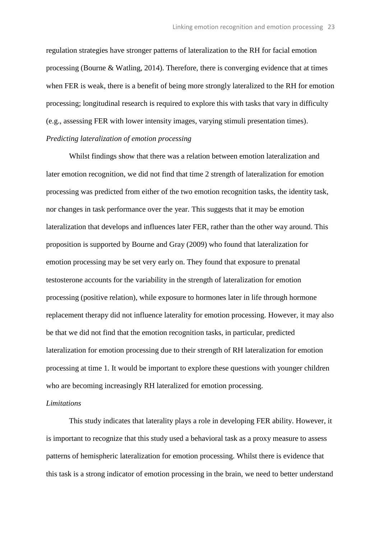regulation strategies have stronger patterns of lateralization to the RH for facial emotion processing (Bourne & Watling, 2014). Therefore, there is converging evidence that at times when FER is weak, there is a benefit of being more strongly lateralized to the RH for emotion processing; longitudinal research is required to explore this with tasks that vary in difficulty (e.g., assessing FER with lower intensity images, varying stimuli presentation times). *Predicting lateralization of emotion processing*

Whilst findings show that there was a relation between emotion lateralization and later emotion recognition, we did not find that time 2 strength of lateralization for emotion processing was predicted from either of the two emotion recognition tasks, the identity task, nor changes in task performance over the year. This suggests that it may be emotion lateralization that develops and influences later FER, rather than the other way around. This proposition is supported by Bourne and Gray (2009) who found that lateralization for emotion processing may be set very early on. They found that exposure to prenatal testosterone accounts for the variability in the strength of lateralization for emotion processing (positive relation), while exposure to hormones later in life through hormone replacement therapy did not influence laterality for emotion processing. However, it may also be that we did not find that the emotion recognition tasks, in particular, predicted lateralization for emotion processing due to their strength of RH lateralization for emotion processing at time 1. It would be important to explore these questions with younger children who are becoming increasingly RH lateralized for emotion processing.

## *Limitations*

This study indicates that laterality plays a role in developing FER ability. However, it is important to recognize that this study used a behavioral task as a proxy measure to assess patterns of hemispheric lateralization for emotion processing. Whilst there is evidence that this task is a strong indicator of emotion processing in the brain, we need to better understand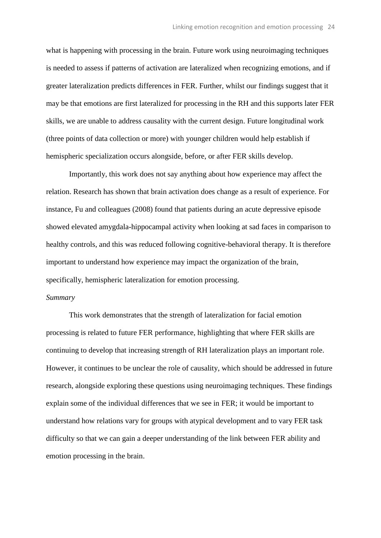what is happening with processing in the brain. Future work using neuroimaging techniques is needed to assess if patterns of activation are lateralized when recognizing emotions, and if greater lateralization predicts differences in FER. Further, whilst our findings suggest that it may be that emotions are first lateralized for processing in the RH and this supports later FER skills, we are unable to address causality with the current design. Future longitudinal work (three points of data collection or more) with younger children would help establish if hemispheric specialization occurs alongside, before, or after FER skills develop.

Importantly, this work does not say anything about how experience may affect the relation. Research has shown that brain activation does change as a result of experience. For instance, Fu and colleagues (2008) found that patients during an acute depressive episode showed elevated amygdala-hippocampal activity when looking at sad faces in comparison to healthy controls, and this was reduced following cognitive-behavioral therapy. It is therefore important to understand how experience may impact the organization of the brain, specifically, hemispheric lateralization for emotion processing.

#### *Summary*

This work demonstrates that the strength of lateralization for facial emotion processing is related to future FER performance, highlighting that where FER skills are continuing to develop that increasing strength of RH lateralization plays an important role. However, it continues to be unclear the role of causality, which should be addressed in future research, alongside exploring these questions using neuroimaging techniques. These findings explain some of the individual differences that we see in FER; it would be important to understand how relations vary for groups with atypical development and to vary FER task difficulty so that we can gain a deeper understanding of the link between FER ability and emotion processing in the brain.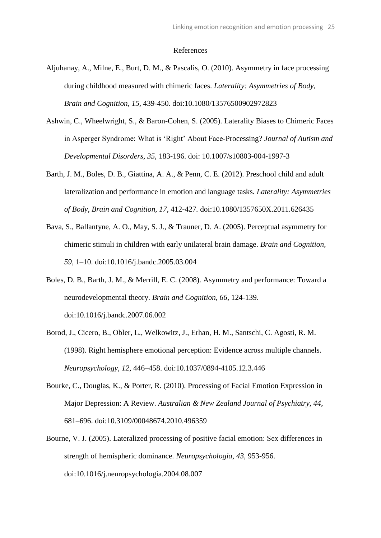#### References

- Aljuhanay, A., Milne, E., Burt, D. M., & Pascalis, O. (2010). Asymmetry in face processing during childhood measured with chimeric faces. *Laterality: Asymmetries of Body, Brain and Cognition, 15,* 439-450. doi:10.1080/13576500902972823
- Ashwin, C., Wheelwright, S., & Baron-Cohen, S. (2005). Laterality Biases to Chimeric Faces in Asperger Syndrome: What is 'Right' About Face-Processing? *Journal of Autism and Developmental Disorders, 35,* 183-196. doi: 10.1007/s10803-004-1997-3
- Barth, J. M., Boles, D. B., Giattina, A. A., & Penn, C. E. (2012). Preschool child and adult lateralization and performance in emotion and language tasks. *Laterality: Asymmetries of Body, Brain and Cognition, 17,* 412-427*.* doi:10.1080/1357650X.2011.626435
- Bava, S., Ballantyne, A. O., May, S. J., & Trauner, D. A. (2005). Perceptual asymmetry for chimeric stimuli in children with early unilateral brain damage. *Brain and Cognition, 59,* 1–10. doi:10.1016/j.bandc.2005.03.004
- Boles, D. B., Barth, J. M., & Merrill, E. C. (2008). Asymmetry and performance: Toward a neurodevelopmental theory. *Brain and Cognition, 66,* 124-139. doi:10.1016/j.bandc.2007.06.002
- Borod, J., Cicero, B., Obler, L., Welkowitz, J., Erhan, H. M., Santschi, C. Agosti, R. M. (1998). Right hemisphere emotional perception: Evidence across multiple channels. *Neuropsychology, 12,* 446–458. doi:10.1037/0894-4105.12.3.446
- Bourke, C., Douglas, K., & Porter, R. (2010). Processing of Facial Emotion Expression in Major Depression: A Review. *Australian & New Zealand Journal of Psychiatry, 44*, 681–696. doi:10.3109/00048674.2010.496359
- Bourne, V. J. (2005). Lateralized processing of positive facial emotion: Sex differences in strength of hemispheric dominance. *Neuropsychologia, 43,* 953-956. doi:10.1016/j.neuropsychologia.2004.08.007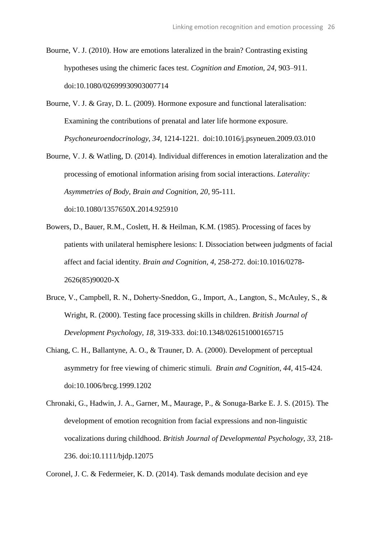- Bourne, V. J. (2010). How are emotions lateralized in the brain? Contrasting existing hypotheses using the chimeric faces test. *Cognition and Emotion, 24,* 903–911. doi:10.1080/02699930903007714
- Bourne, V. J. & Gray, D. L. (2009). Hormone exposure and functional lateralisation: Examining the contributions of prenatal and later life hormone exposure. *Psychoneuroendocrinology, 34,* 1214-1221. doi:10.1016/j.psyneuen.2009.03.010
- Bourne, V. J. & Watling, D. (2014). Individual differences in emotion lateralization and the processing of emotional information arising from social interactions. *Laterality: Asymmetries of Body, Brain and Cognition, 20*, 95-111*.* doi:10.1080/1357650X.2014.925910
- Bowers, D., Bauer, R.M., Coslett, H. & Heilman, K.M. (1985). Processing of faces by patients with unilateral hemisphere lesions: I. Dissociation between judgments of facial affect and facial identity. *Brain and Cognition, 4,* 258-272. doi:10.1016/0278- 2626(85)90020-X
- Bruce, V., Campbell, R. N., Doherty-Sneddon, G., Import, A., Langton, S., McAuley, S., & Wright, R. (2000). Testing face processing skills in children. *British Journal of Development Psychology, 18,* 319-333. doi:10.1348/026151000165715
- Chiang, C. H., Ballantyne, A. O., & Trauner, D. A. (2000). Development of perceptual asymmetry for free viewing of chimeric stimuli. *Brain and Cognition, 44,* 415-424. doi:10.1006/brcg.1999.1202
- Chronaki, G., Hadwin, J. A., Garner, M., Maurage, P., & Sonuga-Barke E. J. S. (2015). The development of emotion recognition from facial expressions and non-linguistic vocalizations during childhood. *British Journal of Developmental Psychology, 33,* 218- 236. doi:10.1111/bjdp.12075

Coronel, J. C. & Federmeier, K. D. (2014). Task demands modulate decision and eye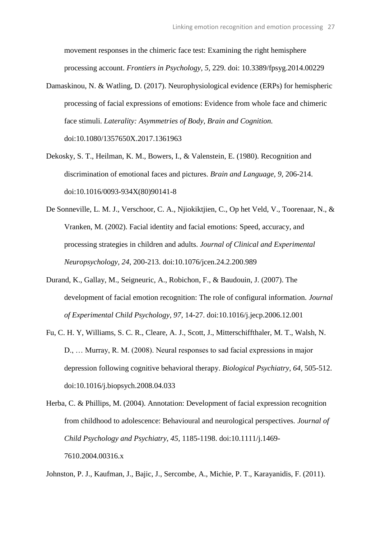movement responses in the chimeric face test: Examining the right hemisphere processing account. *Frontiers in Psychology, 5,* 229. doi: 10.3389/fpsyg.2014.00229

- Damaskinou, N. & Watling, D. (2017). Neurophysiological evidence (ERPs) for hemispheric processing of facial expressions of emotions: Evidence from whole face and chimeric face stimuli. *Laterality: Asymmetries of Body, Brain and Cognition.*  doi:10.1080/1357650X.2017.1361963
- Dekosky, S. T., Heilman, K. M., Bowers, I., & Valenstein, E. (1980). Recognition and discrimination of emotional faces and pictures. *Brain and Language, 9,* 206-214. doi:10.1016/0093-934X(80)90141-8
- De Sonneville, L. M. J., Verschoor, C. A., Njiokiktjien, C., Op het Veld, V., Toorenaar, N., & Vranken, M. (2002). Facial identity and facial emotions: Speed, accuracy, and processing strategies in children and adults. *Journal of Clinical and Experimental Neuropsychology, 24,* 200-213. doi:10.1076/jcen.24.2.200.989
- Durand, K., Gallay, M., Seigneuric, A., Robichon, F., & Baudouin, J. (2007). The development of facial emotion recognition: The role of configural information. *Journal of Experimental Child Psychology, 97,* 14-27. doi:10.1016/j.jecp.2006.12.001
- Fu, C. H. Y, Williams, S. C. R., Cleare, A. J., Scott, J., Mitterschiffthaler, M. T., Walsh, N. D., … Murray, R. M. (2008). Neural responses to sad facial expressions in major depression following cognitive behavioral therapy. *Biological Psychiatry, 64,* 505-512. doi:10.1016/j.biopsych.2008.04.033
- Herba, C. & Phillips, M. (2004). Annotation: Development of facial expression recognition from childhood to adolescence: Behavioural and neurological perspectives. *Journal of Child Psychology and Psychiatry, 45,* 1185-1198. doi:10.1111/j.1469- 7610.2004.00316.x

Johnston, P. J., Kaufman, J., Bajic, J., Sercombe, A., Michie, P. T., Karayanidis, F. (2011).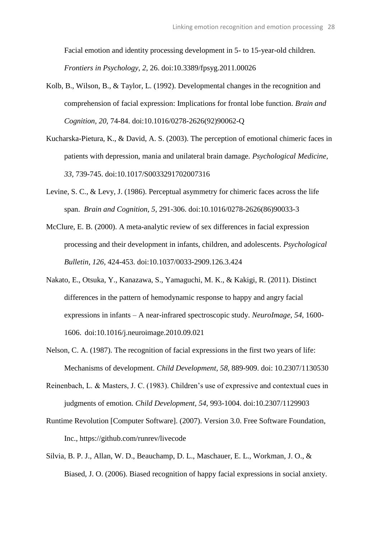Facial emotion and identity processing development in 5- to 15-year-old children. *Frontiers in Psychology, 2,* 26. doi:10.3389/fpsyg.2011.00026

- Kolb, B., Wilson, B., & Taylor, L. (1992). Developmental changes in the recognition and comprehension of facial expression: Implications for frontal lobe function. *Brain and Cognition, 20,* 74-84. doi:10.1016/0278-2626(92)90062-Q
- Kucharska-Pietura, K., & David, A. S. (2003). The perception of emotional chimeric faces in patients with depression, mania and unilateral brain damage. *Psychological Medicine, 33,* 739-745. doi:10.1017/S0033291702007316
- Levine, S. C., & Levy, J. (1986). Perceptual asymmetry for chimeric faces across the life span. *Brain and Cognition, 5,* 291-306. doi:10.1016/0278-2626(86)90033-3
- McClure, E. B. (2000). A meta-analytic review of sex differences in facial expression processing and their development in infants, children, and adolescents. *Psychological Bulletin, 126,* 424-453. doi:10.1037/0033-2909.126.3.424
- Nakato, E., Otsuka, Y., Kanazawa, S., Yamaguchi, M. K., & Kakigi, R. (2011). Distinct differences in the pattern of hemodynamic response to happy and angry facial expressions in infants – A near-infrared spectroscopic study. *NeuroImage, 54,* 1600- 1606. doi:10.1016/j.neuroimage.2010.09.021
- Nelson, C. A. (1987). The recognition of facial expressions in the first two years of life: Mechanisms of development. *Child Development, 58,* 889-909. doi: 10.2307/1130530
- Reinenbach, L. & Masters, J. C. (1983). Children's use of expressive and contextual cues in judgments of emotion. *Child Development, 54,* 993-1004. doi:10.2307/1129903
- Runtime Revolution [Computer Software]. (2007). Version 3.0. Free Software Foundation, Inc., https://github.com/runrev/livecode
- Silvia, B. P. J., Allan, W. D., Beauchamp, D. L., Maschauer, E. L., Workman, J. O., & Biased, J. O. (2006). Biased recognition of happy facial expressions in social anxiety.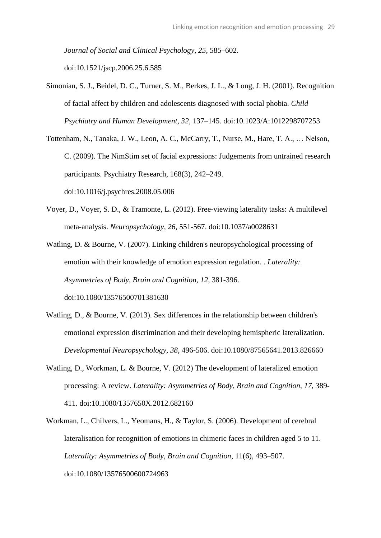*Journal of Social and Clinical Psychology, 25*, 585–602. doi:10.1521/jscp.2006.25.6.585

- Simonian, S. J., Beidel, D. C., Turner, S. M., Berkes, J. L., & Long, J. H. (2001). Recognition of facial affect by children and adolescents diagnosed with social phobia. *Child Psychiatry and Human Development, 32*, 137–145. doi:10.1023/A:1012298707253
- Tottenham, N., Tanaka, J. W., Leon, A. C., McCarry, T., Nurse, M., Hare, T. A., … Nelson, C. (2009). The NimStim set of facial expressions: Judgements from untrained research participants. Psychiatry Research, 168(3), 242–249. doi:10.1016/j.psychres.2008.05.006
- Voyer, D., Voyer, S. D., & Tramonte, L. (2012). Free-viewing laterality tasks: A multilevel meta-analysis. *Neuropsychology, 26,* 551-567. doi:10.1037/a0028631
- Watling, D. & Bourne, V. (2007). Linking children's neuropsychological processing of emotion with their knowledge of emotion expression regulation. *. Laterality: Asymmetries of Body, Brain and Cognition, 12,* 381-396. doi:10.1080/13576500701381630
- Watling, D., & Bourne, V. (2013). Sex differences in the relationship between children's emotional expression discrimination and their developing hemispheric lateralization. *Developmental Neuropsychology, 38*, 496-506. doi:10.1080/87565641.2013.826660
- Watling, D., Workman, L. & Bourne, V. (2012) The development of lateralized emotion processing: A review. *Laterality: Asymmetries of Body, Brain and Cognition, 17*, 389- 411. doi:10.1080/1357650X.2012.682160
- Workman, L., Chilvers, L., Yeomans, H., & Taylor, S. (2006). Development of cerebral lateralisation for recognition of emotions in chimeric faces in children aged 5 to 11. *Laterality: Asymmetries of Body, Brain and Cognition*, 11(6), 493–507. doi:10.1080/13576500600724963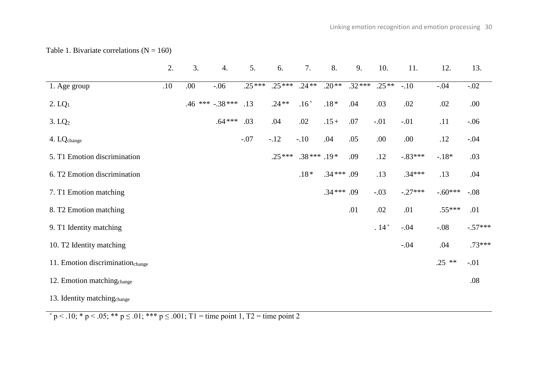Table 1. Bivariate correlations  $(N = 160)$ 

|                                              | 2.  | 3.  | 4.                   | 5.       | 6.       | 7.           | 8.          | 9.       | 10.     | 11.       | 12.       | 13.       |
|----------------------------------------------|-----|-----|----------------------|----------|----------|--------------|-------------|----------|---------|-----------|-----------|-----------|
| 1. Age group                                 | .10 | .00 | $-.06$               | $.25***$ | $.25***$ | $.24**$      | $.20**$     | $.32***$ | $.25**$ | $-.10$    | $-.04$    | $-.02$    |
| 2. LQ <sub>1</sub>                           |     |     | $.46$ *** $-.38$ *** | .13      | $.24**$  | $.16+$       | $.18*$      | .04      | .03     | .02       | .02       | .00.      |
| 3. LQ <sub>2</sub>                           |     |     | $.64***$             | .03      | .04      | .02          | $.15+$      | .07      | $-.01$  | $-.01$    | .11       | $-.06$    |
| 4. LQ <sub>change</sub>                      |     |     |                      | $-.07$   | $-12$    | $-.10$       | .04         | .05      | .00.    | .00.      | .12       | $-.04$    |
| 5. T1 Emotion discrimination                 |     |     |                      |          | $.25***$ | $.38***.19*$ |             | .09      | .12     | $-.83***$ | $-18*$    | .03       |
| 6. T2 Emotion discrimination                 |     |     |                      |          |          | $.18*$       | $.34***.09$ |          | .13     | $.34***$  | .13       | .04       |
| 7. T1 Emotion matching                       |     |     |                      |          |          |              | $.34***.09$ |          | $-.03$  | $-.27***$ | $-.60***$ | $-.08$    |
| 8. T2 Emotion matching                       |     |     |                      |          |          |              |             | .01      | .02     | .01       | $.55***$  | .01       |
| 9. T1 Identity matching                      |     |     |                      |          |          |              |             |          | $.14+$  | $-.04$    | $-.08$    | $-.57***$ |
| 10. T2 Identity matching                     |     |     |                      |          |          |              |             |          |         | $-.04$    | .04       | $.73***$  |
| 11. Emotion discrimination <sub>change</sub> |     |     |                      |          |          |              |             |          |         |           | $.25$ **  | $-.01$    |
| 12. Emotion matching <sub>change</sub>       |     |     |                      |          |          |              |             |          |         |           |           | .08       |
| 13. Identity matching <sub>change</sub>      |     |     |                      |          |          |              |             |          |         |           |           |           |

 $+\frac{}{p}$  < .10; \* p < .05; \*\* p  $\leq$  .01; \*\*\* p  $\leq$  .001; T1 = time point 1, T2 = time point 2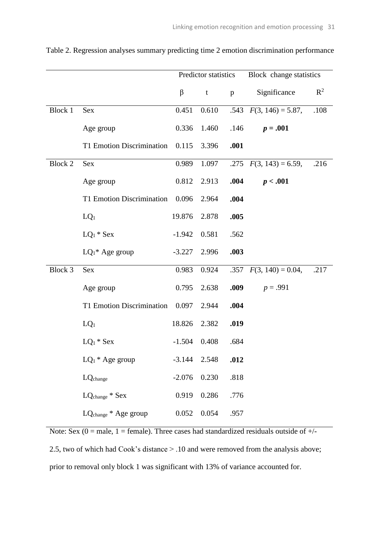|         |                                  |          | Predictor statistics |      | Block change statistics   |                |  |
|---------|----------------------------------|----------|----------------------|------|---------------------------|----------------|--|
|         |                                  | $\beta$  | $\mathbf{t}$         | p    | Significance              | $\mathbb{R}^2$ |  |
| Block 1 | Sex                              | 0.451    | 0.610                |      | .543 $F(3, 146) = 5.87$ , | .108           |  |
|         | Age group                        | 0.336    | 1.460                | .146 | $p=.001$                  |                |  |
|         | T1 Emotion Discrimination        | 0.115    | 3.396                | .001 |                           |                |  |
| Block 2 | Sex                              | 0.989    | 1.097                |      | .275 $F(3, 143) = 6.59$ , | .216           |  |
|         | Age group                        | 0.812    | 2.913                | .004 | p < .001                  |                |  |
|         | T1 Emotion Discrimination        | 0.096    | 2.964                | .004 |                           |                |  |
|         | $LQ_1$                           | 19.876   | 2.878                | .005 |                           |                |  |
|         | $LQ_1 * Sex$                     | $-1.942$ | 0.581                | .562 |                           |                |  |
|         | $LQ_1^*$ Age group               | $-3.227$ | 2.996                | .003 |                           |                |  |
| Block 3 | Sex                              | 0.983    | 0.924                |      | .357 $F(3, 140) = 0.04$ , | .217           |  |
|         | Age group                        | 0.795    | 2.638                | .009 | $p = .991$                |                |  |
|         | T1 Emotion Discrimination        | 0.097    | 2.944                | .004 |                           |                |  |
|         | $LQ_1$                           | 18.826   | 2.382                | .019 |                           |                |  |
|         | $LQ_1 * Sex$                     | $-1.504$ | 0.408                | .684 |                           |                |  |
|         | $LQ_1$ <sup>*</sup> Age group    | $-3.144$ | 2.548                | .012 |                           |                |  |
|         | LQ <sub>change</sub>             | $-2.076$ | 0.230                | .818 |                           |                |  |
|         | LQ <sub>change</sub> * Sex       | 0.919    | 0.286                | .776 |                           |                |  |
|         | LQ <sub>change</sub> * Age group | 0.052    | 0.054                | .957 |                           |                |  |

Table 2. Regression analyses summary predicting time 2 emotion discrimination performance

Note: Sex  $(0 = male, 1 = female)$ . Three cases had standardized residuals outside of  $+/$ 2.5, two of which had Cook's distance > .10 and were removed from the analysis above; prior to removal only block 1 was significant with 13% of variance accounted for.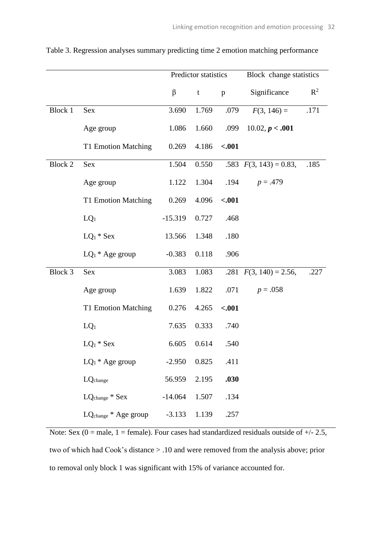|         |                                  |           | Predictor statistics |         | Block change statistics   |       |  |
|---------|----------------------------------|-----------|----------------------|---------|---------------------------|-------|--|
|         |                                  | $\beta$   | t                    | p       | Significance              | $R^2$ |  |
| Block 1 | Sex                              | 3.690     | 1.769                | .079    | $F(3, 146) =$             | .171  |  |
|         | Age group                        | 1.086     | 1.660                | .099    | 10.02, p < .001           |       |  |
|         | T1 Emotion Matching              | 0.269     | 4.186                | $-.001$ |                           |       |  |
| Block 2 | <b>Sex</b>                       | 1.504     | 0.550                |         | .583 $F(3, 143) = 0.83$ , | .185  |  |
|         | Age group                        | 1.122     | 1.304                | .194    | $p = .479$                |       |  |
|         | T1 Emotion Matching              | 0.269     | 4.096                | $-.001$ |                           |       |  |
|         | $LQ_1$                           | $-15.319$ | 0.727                | .468    |                           |       |  |
|         | $LQ_1 * Sex$                     | 13.566    | 1.348                | .180    |                           |       |  |
|         | $LQ_1$ <sup>*</sup> Age group    | $-0.383$  | 0.118                | .906    |                           |       |  |
| Block 3 | <b>Sex</b>                       | 3.083     | 1.083                |         | .281 $F(3, 140) = 2.56$ , | .227  |  |
|         | Age group                        | 1.639     | 1.822                | .071    | $p = .058$                |       |  |
|         | T1 Emotion Matching              | 0.276     | 4.265                | $-.001$ |                           |       |  |
|         | $LQ_1$                           | 7.635     | 0.333                | .740    |                           |       |  |
|         | $LQ_1 * Sex$                     | 6.605     | 0.614                | .540    |                           |       |  |
|         | $LQ_1$ <sup>*</sup> Age group    | $-2.950$  | 0.825                | .411    |                           |       |  |
|         | LQ <sub>change</sub>             | 56.959    | 2.195                | .030    |                           |       |  |
|         | LQ <sub>change</sub> * Sex       | $-14.064$ | 1.507                | .134    |                           |       |  |
|         | LQ <sub>change</sub> * Age group | $-3.133$  | 1.139                | .257    |                           |       |  |

Table 3. Regression analyses summary predicting time 2 emotion matching performance

Note: Sex ( $0 =$  male,  $1 =$  female). Four cases had standardized residuals outside of  $+/2.5$ , two of which had Cook's distance > .10 and were removed from the analysis above; prior to removal only block 1 was significant with 15% of variance accounted for.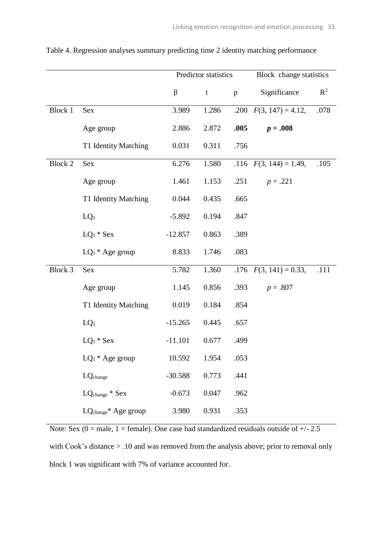|                |                                  |           | Predictor statistics |              | Block change statistics   |       |  |
|----------------|----------------------------------|-----------|----------------------|--------------|---------------------------|-------|--|
|                |                                  | $\beta$   | $\mathbf t$          | $\mathbf{p}$ | Significance              | $R^2$ |  |
| <b>Block 1</b> | Sex                              | 3.989     | 1.286                |              | .200 $F(3, 147) = 4.12$ , | .078  |  |
|                | Age group                        | 2.886     | 2.872                | .005         | $p = .008$                |       |  |
|                | T1 Identity Matching             | 0.031     | 0.311                | .756         |                           |       |  |
| <b>Block 2</b> | <b>Sex</b>                       | 6.276     | 1.580                |              | .116 $F(3, 144) = 1.49$ , | .105  |  |
|                | Age group                        | 1.461     | 1.153                | .251         | $p = .221$                |       |  |
|                | T1 Identity Matching             | 0.044     | 0.435                | .665         |                           |       |  |
|                | $LQ_1$                           | $-5.892$  | 0.194                | .847         |                           |       |  |
|                | $LQ_1 * Sex$                     | $-12.857$ | 0.863                | .389         |                           |       |  |
|                | $LQ_1$ <sup>*</sup> Age group    | 8.833     | 1.746                | .083         |                           |       |  |
| Block 3        | Sex                              | 5.782     | 1.360                |              | .176 $F(3, 141) = 0.33$ , | .111  |  |
|                | Age group                        | 1.145     | 0.856                | .393         | $p=.807$                  |       |  |
|                | T1 Identity Matching             | 0.019     | 0.184                | .854         |                           |       |  |
|                | $LQ_1$                           | $-15.265$ | 0.445                | .657         |                           |       |  |
|                | $LQ_1 * Sex$                     | $-11.101$ | 0.677                | .499         |                           |       |  |
|                | $LQ_1$ <sup>*</sup> Age group    | 10.592    | 1.954                | .053         |                           |       |  |
|                | LQ <sub>change</sub>             | $-30.588$ | 0.773                | .441         |                           |       |  |
|                | $LQ_{change} * Sex$              | $-0.673$  | 0.047                | .962         |                           |       |  |
|                | LQ <sub>change</sub> * Age group | 3.980     | 0.931                | .353         |                           |       |  |

Table 4. Regression analyses summary predicting time 2 identity matching performance

Note: Sex ( $0 =$  male,  $1 =$  female). One case had standardized residuals outside of  $+/2.5$ with Cook's distance  $> .10$  and was removed from the analysis above; prior to removal only block 1 was significant with 7% of variance accounted for.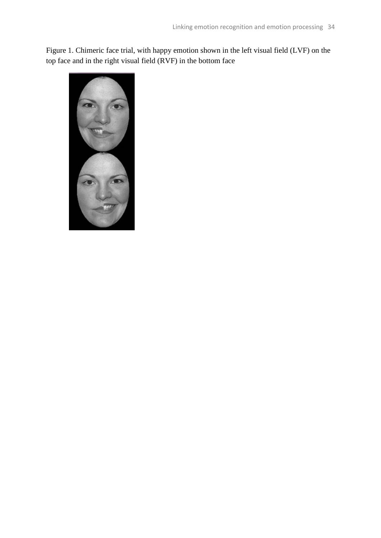Figure 1. Chimeric face trial, with happy emotion shown in the left visual field (LVF) on the top face and in the right visual field (RVF) in the bottom face

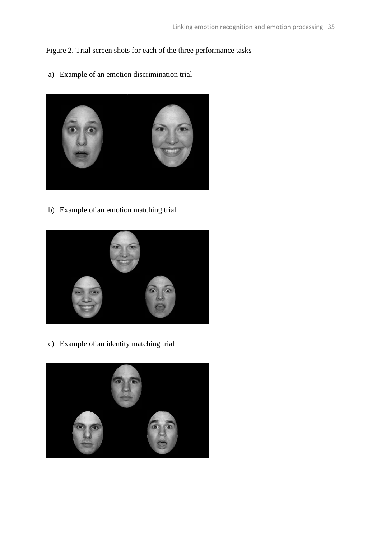## Figure 2. Trial screen shots for each of the three performance tasks

a) Example of an emotion discrimination trial



b) Example of an emotion matching trial



c) Example of an identity matching trial

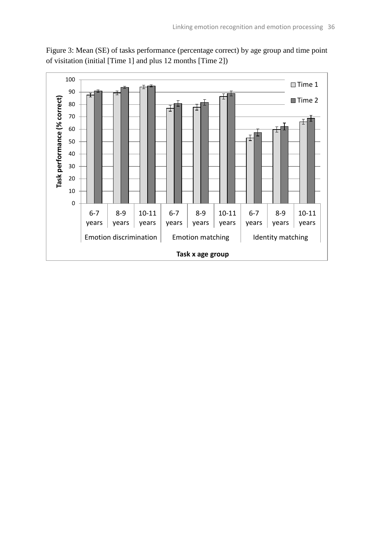

Figure 3: Mean (SE) of tasks performance (percentage correct) by age group and time point of visitation (initial [Time 1] and plus 12 months [Time 2])